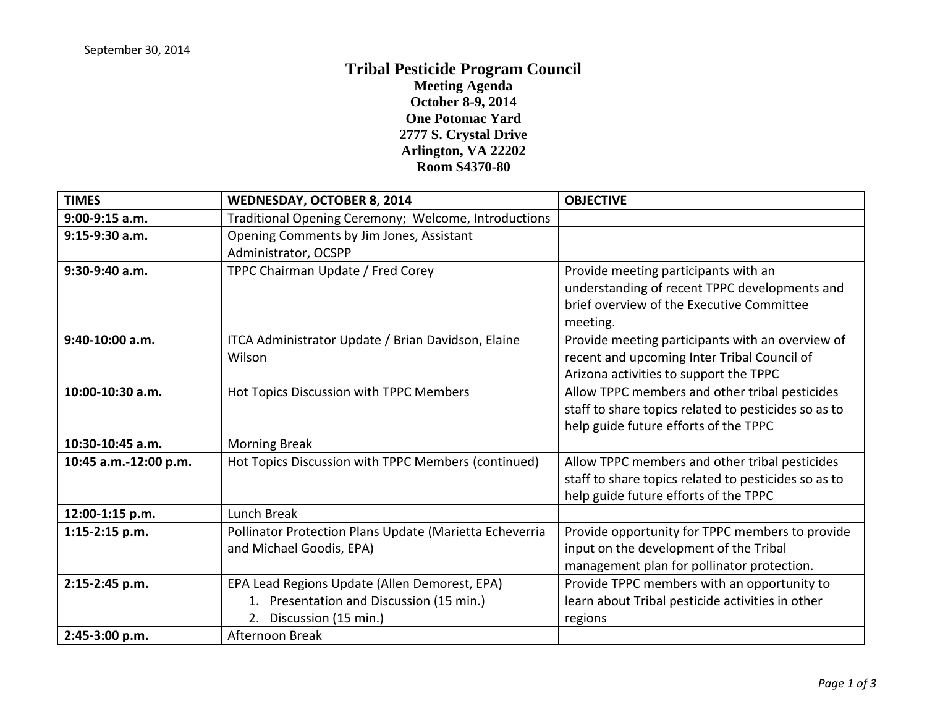## **Tribal Pesticide Program Council Meeting Agenda October 8-9, 2014 One Potomac Yard 2777 S. Crystal Drive Arlington, VA 22202 Room S4370-80**

| <b>TIMES</b>          | <b>WEDNESDAY, OCTOBER 8, 2014</b>                                                                                    | <b>OBJECTIVE</b>                                                                                                                                |
|-----------------------|----------------------------------------------------------------------------------------------------------------------|-------------------------------------------------------------------------------------------------------------------------------------------------|
| 9:00-9:15 a.m.        | Traditional Opening Ceremony; Welcome, Introductions                                                                 |                                                                                                                                                 |
| 9:15-9:30 a.m.        | Opening Comments by Jim Jones, Assistant<br>Administrator, OCSPP                                                     |                                                                                                                                                 |
| 9:30-9:40 a.m.        | TPPC Chairman Update / Fred Corey                                                                                    | Provide meeting participants with an<br>understanding of recent TPPC developments and<br>brief overview of the Executive Committee<br>meeting.  |
| 9:40-10:00 a.m.       | ITCA Administrator Update / Brian Davidson, Elaine<br>Wilson                                                         | Provide meeting participants with an overview of<br>recent and upcoming Inter Tribal Council of<br>Arizona activities to support the TPPC       |
| 10:00-10:30 a.m.      | Hot Topics Discussion with TPPC Members                                                                              | Allow TPPC members and other tribal pesticides<br>staff to share topics related to pesticides so as to<br>help guide future efforts of the TPPC |
| 10:30-10:45 a.m.      | <b>Morning Break</b>                                                                                                 |                                                                                                                                                 |
| 10:45 a.m.-12:00 p.m. | Hot Topics Discussion with TPPC Members (continued)                                                                  | Allow TPPC members and other tribal pesticides<br>staff to share topics related to pesticides so as to<br>help guide future efforts of the TPPC |
| 12:00-1:15 p.m.       | Lunch Break                                                                                                          |                                                                                                                                                 |
| 1:15-2:15 p.m.        | Pollinator Protection Plans Update (Marietta Echeverria<br>and Michael Goodis, EPA)                                  | Provide opportunity for TPPC members to provide<br>input on the development of the Tribal<br>management plan for pollinator protection.         |
| 2:15-2:45 p.m.        | EPA Lead Regions Update (Allen Demorest, EPA)<br>1. Presentation and Discussion (15 min.)<br>2. Discussion (15 min.) | Provide TPPC members with an opportunity to<br>learn about Tribal pesticide activities in other<br>regions                                      |
| 2:45-3:00 p.m.        | Afternoon Break                                                                                                      |                                                                                                                                                 |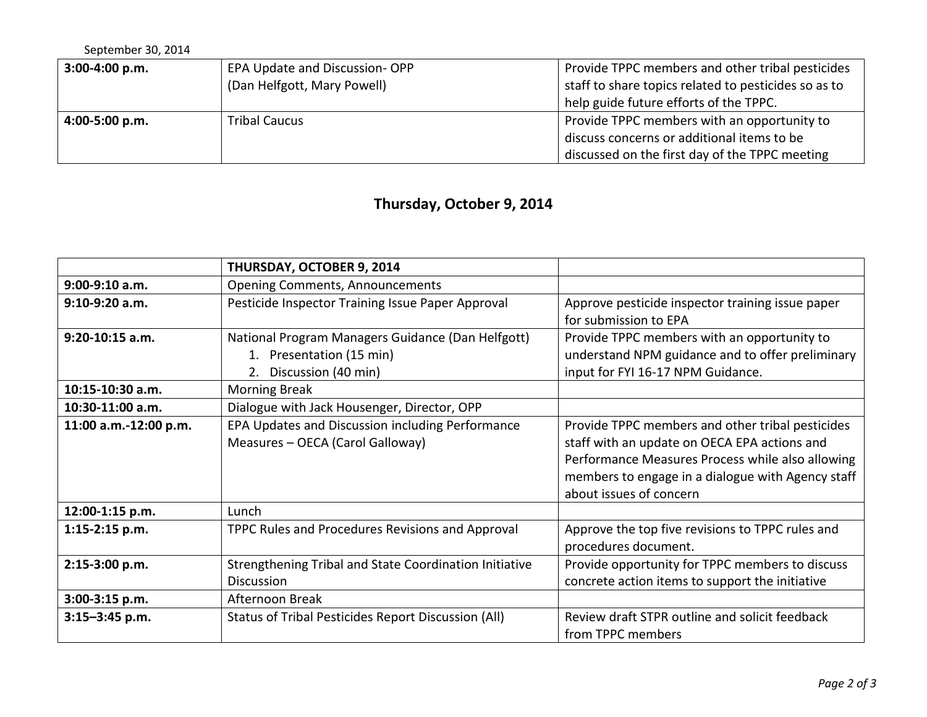| September 30, 2014 |                               |                                                      |
|--------------------|-------------------------------|------------------------------------------------------|
| 3:00-4:00 p.m.     | EPA Update and Discussion-OPP | Provide TPPC members and other tribal pesticides     |
|                    | (Dan Helfgott, Mary Powell)   | staff to share topics related to pesticides so as to |
|                    |                               | help guide future efforts of the TPPC.               |
| 4:00-5:00 p.m.     | <b>Tribal Caucus</b>          | Provide TPPC members with an opportunity to          |
|                    |                               | discuss concerns or additional items to be           |
|                    |                               | discussed on the first day of the TPPC meeting       |

## **Thursday, October 9, 2014**

|                       | THURSDAY, OCTOBER 9, 2014                                                                            |                                                                                                                                                                                                                                      |
|-----------------------|------------------------------------------------------------------------------------------------------|--------------------------------------------------------------------------------------------------------------------------------------------------------------------------------------------------------------------------------------|
| $9:00-9:10$ a.m.      | <b>Opening Comments, Announcements</b>                                                               |                                                                                                                                                                                                                                      |
| $9:10-9:20$ a.m.      | Pesticide Inspector Training Issue Paper Approval                                                    | Approve pesticide inspector training issue paper<br>for submission to EPA                                                                                                                                                            |
| $9:20-10:15$ a.m.     | National Program Managers Guidance (Dan Helfgott)<br>1. Presentation (15 min)<br>Discussion (40 min) | Provide TPPC members with an opportunity to<br>understand NPM guidance and to offer preliminary<br>input for FYI 16-17 NPM Guidance.                                                                                                 |
| 10:15-10:30 a.m.      | <b>Morning Break</b>                                                                                 |                                                                                                                                                                                                                                      |
| 10:30-11:00 a.m.      | Dialogue with Jack Housenger, Director, OPP                                                          |                                                                                                                                                                                                                                      |
| 11:00 a.m.-12:00 p.m. | EPA Updates and Discussion including Performance<br>Measures - OECA (Carol Galloway)                 | Provide TPPC members and other tribal pesticides<br>staff with an update on OECA EPA actions and<br>Performance Measures Process while also allowing<br>members to engage in a dialogue with Agency staff<br>about issues of concern |
| 12:00-1:15 p.m.       | Lunch                                                                                                |                                                                                                                                                                                                                                      |
| $1:15-2:15$ p.m.      | TPPC Rules and Procedures Revisions and Approval                                                     | Approve the top five revisions to TPPC rules and<br>procedures document.                                                                                                                                                             |
| 2:15-3:00 p.m.        | Strengthening Tribal and State Coordination Initiative<br><b>Discussion</b>                          | Provide opportunity for TPPC members to discuss<br>concrete action items to support the initiative                                                                                                                                   |
| 3:00-3:15 p.m.        | Afternoon Break                                                                                      |                                                                                                                                                                                                                                      |
| $3:15 - 3:45$ p.m.    | Status of Tribal Pesticides Report Discussion (All)                                                  | Review draft STPR outline and solicit feedback<br>from TPPC members                                                                                                                                                                  |